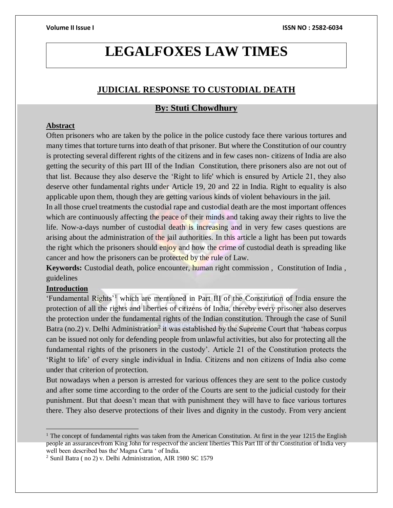# **LEGALFOXES LAW TIMES**

# **JUDICIAL RESPONSE TO CUSTODIAL DEATH**

# **By: Stuti Chowdhury**

### **Abstract**

Often prisoners who are taken by the police in the police custody face there various tortures and many times that torture turns into death of that prisoner. But where the Constitution of our country is protecting several different rights of the citizens and in few cases non- citizens of India are also getting the security of this part III of the Indian Constitution, there prisoners also are not out of that list. Because they also deserve the 'Right to life' which is ensured by Article 21, they also deserve other fundamental rights under Article 19, 20 and 22 in India. Right to equality is also applicable upon them, though they are getting various kinds of violent behaviours in the jail.

In all those cruel treatments the custodial rape and custodial death are the most important offences which are continuously affecting the peace of their minds and taking away their rights to live the life. Now-a-days number of custodial death is increasing and in very few cases questions are arising about the administration of the jail authorities. In this article a light has been put towards the right which the prisoners should enjoy and how the crime of custodial death is spreading like cancer and how the prisoners can be protected by the rule of Law.

**Keywords:** Custodial death, police encounter, human right commission , Constitution of India , guidelines

### **Introduction**

'Fundamental Rights'<sup>1</sup> which are mentioned in Part III of the Constitution of India ensure the protection of all the rights and liberties of citizens of India, thereby every prisoner also deserves the protection under the fundamental rights of the Indian constitution. Through the case of Sunil Batra (no.2) v. Delhi Administration<sup>2</sup> it was established by the Supreme Court that 'habeas corpus can be issued not only for defending people from unlawful activities, but also for protecting all the fundamental rights of the prisoners in the custody'. Article 21 of the Constitution protects the 'Right to life' of every single individual in India. Citizens and non citizens of India also come under that criterion of protection.

But nowadays when a person is arrested for various offences they are sent to the police custody and after some time according to the order of the Courts are sent to the judicial custody for their punishment. But that doesn't mean that with punishment they will have to face various tortures there. They also deserve protections of their lives and dignity in the custody. From very ancient

<sup>&</sup>lt;sup>1</sup> The concept of fundamental rights was taken from the American Constitution. At first in the year 1215 the English people an assurancevfrom King John for respectvof the ancient liberties This Part III of thr Constitution of India very well been described bas the' Magna Carta ' of India.

<sup>2</sup> Sunil Batra ( no 2) v. Delhi Administration, AIR 1980 SC 1579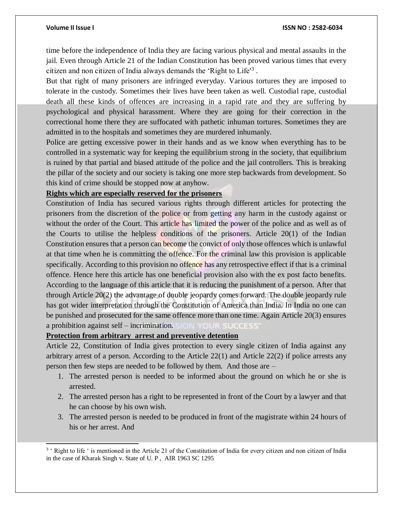l

### **Volume II Issue I ISSN NO : 2582-6034**

time before the independence of India they are facing various physical and mental assaults in the jail. Even through Article 21 of the Indian Constitution has been proved various times that every citizen and non citizen of India always demands the 'Right to Life'<sup>3</sup> .

But that right of many prisoners are infringed everyday. Various tortures they are imposed to tolerate in the custody. Sometimes their lives have been taken as well. Custodial rape, custodial death all these kinds of offences are increasing in a rapid rate and they are suffering by psychological and physical harassment. Where they are going for their correction in the correctional home there they are suffocated with pathetic inhuman tortures. Sometimes they are admitted in to the hospitals and sometimes they are murdered inhumanly.

Police are getting excessive power in their hands and as we know when everything has to be controlled in a systematic way for keeping the equilibrium strong in the society, that equilibrium is ruined by that partial and biased attitude of the police and the jail controllers. This is breaking the pillar of the society and our society is taking one more step backwards from development. So this kind of crime should be stopped now at anyhow.

### **Rights which are especially reserved for the prisoners**

Constitution of India has secured various rights through different articles for protecting the prisoners from the discretion of the police or from getting any harm in the custody against or without the order of the Court. This article has limited the power of the police and as well as of the Courts to utilise the helpless conditions of the prisoners. Article 20(1) of the Indian Constitution ensures that a person can become the convict of only those offences which is unlawful at that time when he is committing the offence. For the criminal law this provision is applicable specifically. According to this provision no offence has any retrospective effect if that is a criminal offence. Hence here this article has one beneficial provision also with the ex post facto benefits. According to the language of this article that it is reducing the punishment of a person. After that through Article 20(2) the advantage of double jeopardy comes forward. The double jeopardy rule has got wider interpretation through the Constitution of America than India. In India no one can be punished and prosecuted for the same offence more than one time. Again Article 20(3) ensures a prohibition against self – incrimination. SIGGSSS

## **Protection from arbitrary arrest and preventive detention**

Article 22, Constitution of India gives protection to every single citizen of India against any arbitrary arrest of a person. According to the Article 22(1) and Article 22(2) if police arrests any person then few steps are needed to be followed by them. And those are –

- 1. The arrested person is needed to be informed about the ground on which he or she is arrested.
- 2. The arrested person has a right to be represented in front of the Court by a lawyer and that he can choose by his own wish.
- 3. The arrested person is needed to be produced in front of the magistrate within 24 hours of his or her arrest. And

<sup>&</sup>lt;sup>3</sup> ' Right to life ' is mentioned in the Article 21 of the Constitution of India for every citizen and non citizen of India in the case of Kharak Singh v. State of U. P , AIR 1963 SC 1295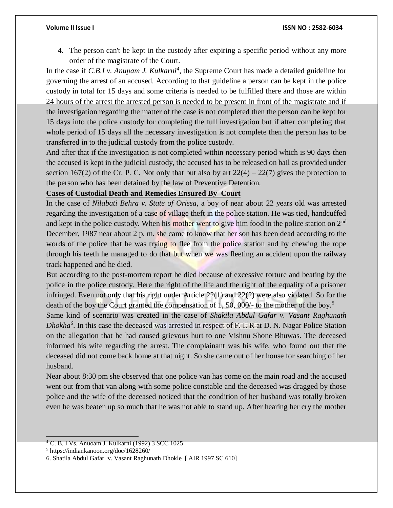4. The person can't be kept in the custody after expiring a specific period without any more order of the magistrate of the Court.

In the case if *C.B.I v. Anupam J. Kulkarni<sup>4</sup>* , the Supreme Court has made a detailed guideline for governing the arrest of an accused. According to that guideline a person can be kept in the police custody in total for 15 days and some criteria is needed to be fulfilled there and those are within 24 hours of the arrest the arrested person is needed to be present in front of the magistrate and if the investigation regarding the matter of the case is not completed then the person can be kept for 15 days into the police custody for completing the full investigation but if after completing that whole period of 15 days all the necessary investigation is not complete then the person has to be transferred in to the judicial custody from the police custody.

And after that if the investigation is not completed within necessary period which is 90 days then the accused is kept in the judicial custody, the accused has to be released on bail as provided under section 167(2) of the Cr. P. C. Not only that but also by art  $22(4) - 22(7)$  gives the protection to the person who has been detained by the law of Preventive Detention.

# **Cases of Custodial Death and Remedies Ensured By Court**

In the case of *Nilabati Behra v. State of Orissa*, a boy of near about 22 years old was arrested regarding the investigation of a case of village theft in the police station. He was tied, handcuffed and kept in the police custody. When his mother went to give him food in the police station on 2<sup>nd</sup> December, 1987 near about 2 p. m. she came to know that her son has been dead according to the words of the police that he was trying to flee from the police station and by chewing the rope through his teeth he managed to do that but when we was fleeting an accident upon the railway track happened and he died.

But according to the post-mortem report he died because of excessive torture and beating by the police in the police custody. Here the right of the life and the right of the equality of a prisoner infringed. Even not only that his right under Article 22(1) and 22(2) were also violated. So for the death of the boy the Court granted the compensation of 1, 50, 000/- to the mother of the boy.<sup>5</sup>

Same kind of scenario was created in the case of *Shakila Abdul Gafar v. Vasant Raghunath Dhokha<sup>6</sup>* . In this case the deceased was arrested in respect of F. I. R at D. N. Nagar Police Station on the allegation that he had caused grievous hurt to one Vishnu Shone Bhuwas. The deceased informed his wife regarding the arrest. The complainant was his wife, who found out that the deceased did not come back home at that night. So she came out of her house for searching of her husband.

Near about 8:30 pm she observed that one police van has come on the main road and the accused went out from that van along with some police constable and the deceased was dragged by those police and the wife of the deceased noticed that the condition of her husband was totally broken even he was beaten up so much that he was not able to stand up. After hearing her cry the mother

 <sup>4</sup> C. B. I Vs. Anuoam J. Kulkarni (1992) 3 SCC 1025

<sup>5</sup> https://indiankanoon.org/doc/1628260/

<sup>6.</sup> Shatila Abdul Gafar v. Vasant Raghunath Dhokle [ AIR 1997 SC 610]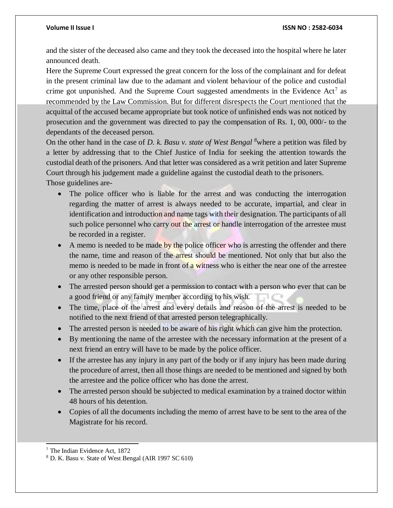and the sister of the deceased also came and they took the deceased into the hospital where he later announced death.

Here the Supreme Court expressed the great concern for the loss of the complainant and for defeat in the present criminal law due to the adamant and violent behaviour of the police and custodial crime got unpunished. And the Supreme Court suggested amendments in the Evidence Act<sup>7</sup> as recommended by the Law Commission. But for different disrespects the Court mentioned that the acquittal of the accused became appropriate but took notice of unfinished ends was not noticed by prosecution and the government was directed to pay the compensation of Rs. 1, 00, 000/- to the dependants of the deceased person.

On the other hand in the case of *D. k. Basu v. state of West Bengal <sup>8</sup>*where a petition was filed by a letter by addressing that to the Chief Justice of India for seeking the attention towards the custodial death of the prisoners. And that letter was considered as a writ petition and later Supreme Court through his judgement made a guideline against the custodial death to the prisoners. Those guidelines are-

- The police officer who is liable for the arrest and was conducting the interrogation regarding the matter of arrest is always needed to be accurate, impartial, and clear in identification and introduction and name tags with their designation. The participants of all such police personnel who carry out the arrest or handle interrogation of the arrestee must be recorded in a register.
- A memo is needed to be made by the police officer who is arresting the offender and there the name, time and reason of the arrest should be mentioned. Not only that but also the memo is needed to be made in front of a witness who is either the near one of the arrestee or any other responsible person.
- The arrested person should get a permission to contact with a person who ever that can be a good friend or any family member according to his wish.
- The time, place of the arrest and every details and reason of the arrest is needed to be notified to the next friend of that arrested person telegraphically.
- The arrested person is needed to be aware of his right which can give him the protection.
- By mentioning the name of the arrestee with the necessary information at the present of a next friend an entry will have to be made by the police officer.
- If the arrestee has any injury in any part of the body or if any injury has been made during the procedure of arrest, then all those things are needed to be mentioned and signed by both the arrestee and the police officer who has done the arrest.
- The arrested person should be subjected to medical examination by a trained doctor within 48 hours of his detention.
- Copies of all the documents including the memo of arrest have to be sent to the area of the Magistrate for his record.

l <sup>7</sup> The Indian Evidence Act, 1872

<sup>8</sup> D. K. Basu v. State of West Bengal (AIR 1997 SC 610)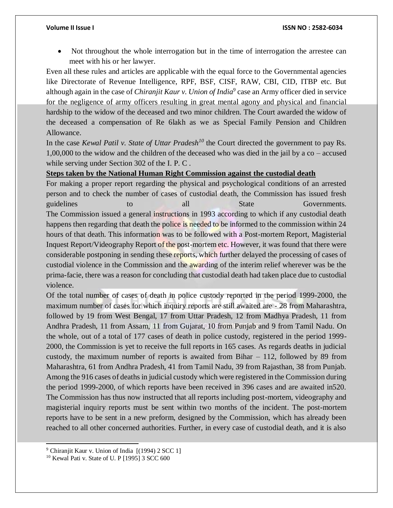Not throughout the whole interrogation but in the time of interrogation the arrestee can meet with his or her lawyer.

Even all these rules and articles are applicable with the equal force to the Governmental agencies like Directorate of Revenue Intelligence, RPF, BSF, CISF, RAW, CBI, CID, ITBP etc. But although again in the case of *Chiranjit Kaur v. Union of India<sup>9</sup>* case an Army officer died in service for the negligence of army officers resulting in great mental agony and physical and financial hardship to the widow of the deceased and two minor children. The Court awarded the widow of the deceased a compensation of Re 6lakh as we as Special Family Pension and Children Allowance.

In the case *Kewal Patil v. State of Uttar Pradesh<sup>10</sup>* the Court directed the government to pay Rs. 1,00,000 to the widow and the children of the deceased who was died in the jail by a co – accused while serving under Section 302 of the I. P. C .

# **Steps taken by the National Human Right Commission against the custodial death**

For making a proper report regarding the physical and psychological conditions of an arrested person and to check the number of cases of custodial death, the Commission has issued fresh guidelines to all State Governments. The Commission issued a general instructions in 1993 according to which if any custodial death happens then regarding that death the police is needed to be informed to the commission within 24 hours of that death. This information was to be followed with a Post-mortem Report, Magisterial Inquest Report/Videography Report of the post-mortem etc. However, it was found that there were considerable postponing in sending these reports, which further delayed the processing of cases of custodial violence in the Commission and the awarding of the interim relief wherever was be the prima-facie, there was a reason for concluding that custodial death had taken place due to custodial violence.

Of the total number of cases of death in police custody reported in the period 1999-2000, the maximum number of cases for which inquiry reports are still awaited are - 28 from Maharashtra, followed by 19 from West Bengal, 17 from Uttar Pradesh, 12 from Madhya Pradesh, 11 from Andhra Pradesh, 11 from Assam, 11 from Gujarat, 10 from Punjab and 9 from Tamil Nadu. On the whole, out of a total of 177 cases of death in police custody, registered in the period 1999- 2000, the Commission is yet to receive the full reports in 165 cases. As regards deaths in judicial custody, the maximum number of reports is awaited from Bihar – 112, followed by 89 from Maharashtra, 61 from Andhra Pradesh, 41 from Tamil Nadu, 39 from Rajasthan, 38 from Punjab. Among the 916 cases of deaths in judicial custody which were registered in the Commission during the period 1999-2000, of which reports have been received in 396 cases and are awaited in520. The Commission has thus now instructed that all reports including post-mortem, videography and magisterial inquiry reports must be sent within two months of the incident. The post-mortem reports have to be sent in a new preform, designed by the Commission, which has already been reached to all other concerned authorities. Further, in every case of custodial death, and it is also

l

<sup>&</sup>lt;sup>9</sup> Chiranjit Kaur v. Union of India [(1994) 2 SCC 1]

<sup>10</sup> Kewal Pati v. State of U. P [1995] 3 SCC 600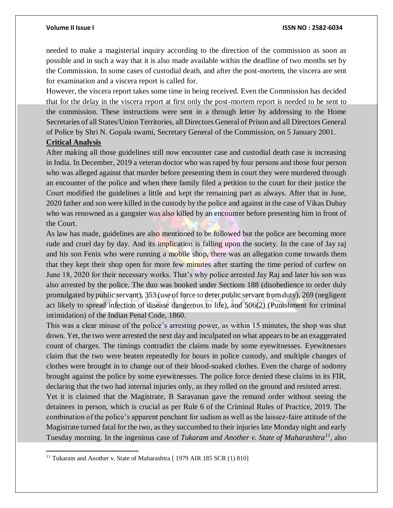needed to make a magisterial inquiry according to the direction of the commission as soon as possible and in such a way that it is also made available within the deadline of two months set by the Commission. In some cases of custodial death, and after the post-mortem, the viscera are sent for examination and a viscera report is called for.

However, the viscera report takes some time in being received. Even the Commission has decided that for the delay in the viscera report at first only the post-mortem report is needed to be sent to the commission. These instructions were sent in a through letter by addressing to the Home Secretaries of all States/Union Territories, all Directors General of Prison and all Directors General of Police by Shri N. Gopala swami, Secretary General of the Commission, on 5 January 2001.

# **Critical Analysis**

 $\overline{a}$ 

After making all those guidelines still now encounter case and custodial death case is increasing in India. In December, 2019 a veteran doctor who was raped by four persons and those four person who was alleged against that murder before presenting them in court they were murdered through an encounter of the police and when there family filed a petition to the court for their justice the Court modified the guidelines a little and kept the remaining part as always. After that in June, 2020 father and son were killed in the custody by the police and against in the case of Vikas Dubay who was renowned as a gangster was also killed by an encounter before presenting him in front of the Court.

As law has made, guidelines are also mentioned to be followed but the police are becoming more rude and cruel day by day. And its implication is falling upon the society. In the case of Jay raj and his son Fenix who were running a mobile shop, there was an allegation come towards them that they kept their shop open for more few minutes after starting the time period of curfew on June 18, 2020 for their necessary works. That's why police arrested Jay Raj and later his son was also arrested by the police. The duo was booked under Sections 188 (disobedience to order duly promulgated by public servant), 353 (use of force to deter public servant from duty), 269 (negligent act likely to spread infection of disease dangerous to life), and 506(2) (Punishment for criminal intimidation) of the Indian Penal Code, 1860.

This was a clear misuse of the police's arresting power, as within 15 minutes, the shop was shut down. Yet, the two were arrested the next day and inculpated on what appears to be an exaggerated count of charges. The timings contradict the claims made by some eyewitnesses. Eyewitnesses claim that the two were beaten repeatedly for hours in police custody, and multiple changes of clothes were brought in to change out of their blood-soaked clothes. Even the charge of sodomy brought against the police by some eyewitnesses. The police force denied these claims in its FIR, declaring that the two had internal injuries only, as they rolled on the ground and resisted arrest. Yet it is claimed that the Magistrate, B Saravanan gave the remand order without seeing the detainees in person, which is crucial as per Rule 6 of the Criminal Rules of Practice, 2019. The

combination of the police's apparent penchant for sadism as well as the laissez-faire attitude of the Magistrate turned fatal for the two, as they succumbed to their injuries late Monday night and early Tuesday morning. In the ingenious case of *Tukaram and Another v. State of Maharashtra<sup>11</sup> ,* also

<sup>&</sup>lt;sup>11</sup> Tukaram and Another v. State of Maharashtra [ 1979 AIR 185 SCR (1) 810]